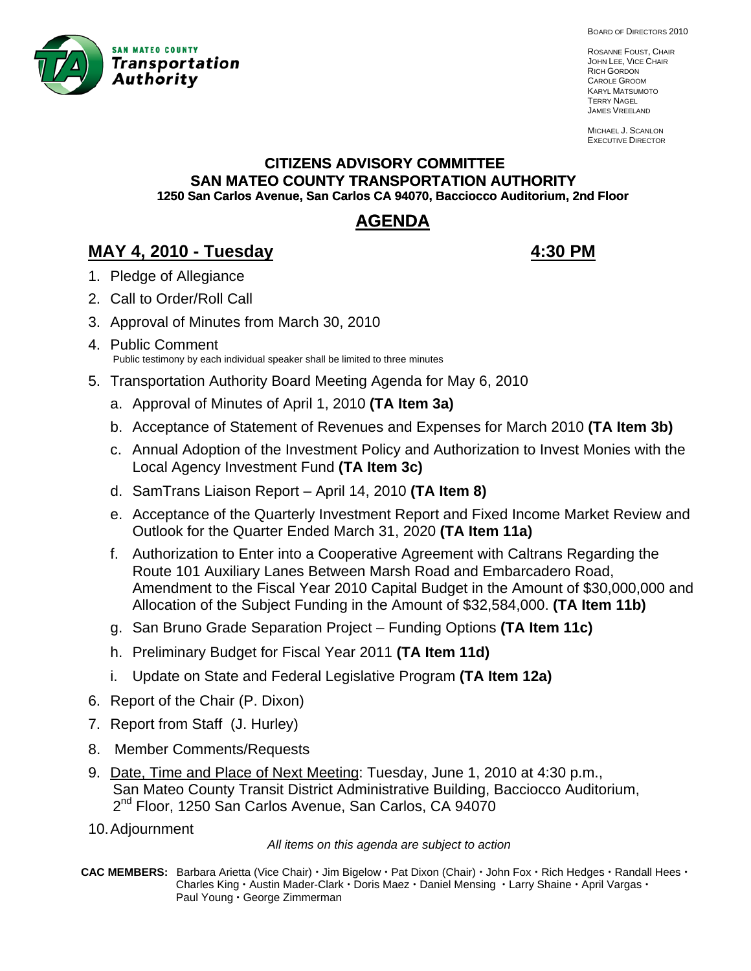

BOARD OF DIRECTORS 2010

ROSANNE FOUST, CHAIR JOHN LEE, VICE CHAIR RICH GORDON CAROLE GROOM KARYL MATSUMOTO TERRY NAGEL JAMES VREELAND

MICHAEL J. SCANLON EXECUTIVE DIRECTOR

# **CITIZENS ADVISORY COMMITTEE SAN MATEO COUNTY TRANSPORTATION AUTHORITY 1250 San Carlos Avenue, San Carlos CA 94070, Bacciocco Auditorium, 2nd Floor**

# **AGENDA**

# **MAY 4, 2010 - Tuesday 4:30 PM**

- 1. Pledge of Allegiance
- 2. Call to Order/Roll Call
- 3. A pproval of Minutes from March 30, 2010
- 4. Public Comment Public testimony by each individual speaker shall be limited to three minutes
- 5. Transportation Authority Board Meeting Agenda for May 6, 2010
	- a. Approval of Minutes of April 1, 2010 **(TA Item 3a)**
	- b. Acceptance of Statement of Revenues and Expenses for March 2010 **(TA Item 3b)**
	- c. Annual Adoption of the Investment Policy and Authorization to Invest Monies with the Local Agency Investment Fund **(TA Item 3c)**
	- d. SamTrans Liaison Report April 14, 2010 **(TA Item 8)**
	- e. Acceptance of the Quarterly Investment Report and Fixed Income Market Review and Outlook for the Quarter Ended March 31, 2020 **(TA Item 11a)**
	- f. Authorization to Enter into a Cooperative Agreement with Caltrans Regarding the Route 101 Auxiliary Lanes Between Marsh Road and Embarcadero Road, Amendment to the Fiscal Year 2010 Capital Budget in the Amount of \$30,000,000 and Allocation of the Subject Funding in the Amount of \$32,584,000. **(TA Item 11b)**
	- g. San Bruno Grade Separation Project Funding Options **(TA Item 11c)**
	- h. Preliminary Budget for Fiscal Year 2011 (TA Item 11d)
	- i. Update on State and Federal Legislative Program **(TA Item 12a)**
- 6. Report of the Chair (P. Dixon)
- 7. Report from Staff (J. Hurley)
- 8. Member Comments/Requests
- 9. Date, Time and Place of Next Meeting: Tuesday, June 1, 2010 at 4:30 p.m., San Mateo County Transit District Administrative Building, Bacciocco Auditorium, 2<sup>nd</sup> Floor, 1250 San Carlos Avenue, San Carlos, CA 94070
- 10. Adjournment

*All items on this agenda are subject to action* 

**CAC MEMBERS:** Barbara Arietta (Vice Chair)  $\cdot$  Jim Bigelow  $\cdot$  Pat Dixon (Chair)  $\cdot$  John Fox  $\cdot$  Rich Hedges  $\cdot$  Randall Hees  $\cdot$ **Charles King · Austin Mader-Clark · Doris Maez · Daniel Mensing · Larry Shaine · April Vargas ·** Paul Young · George Zimmerman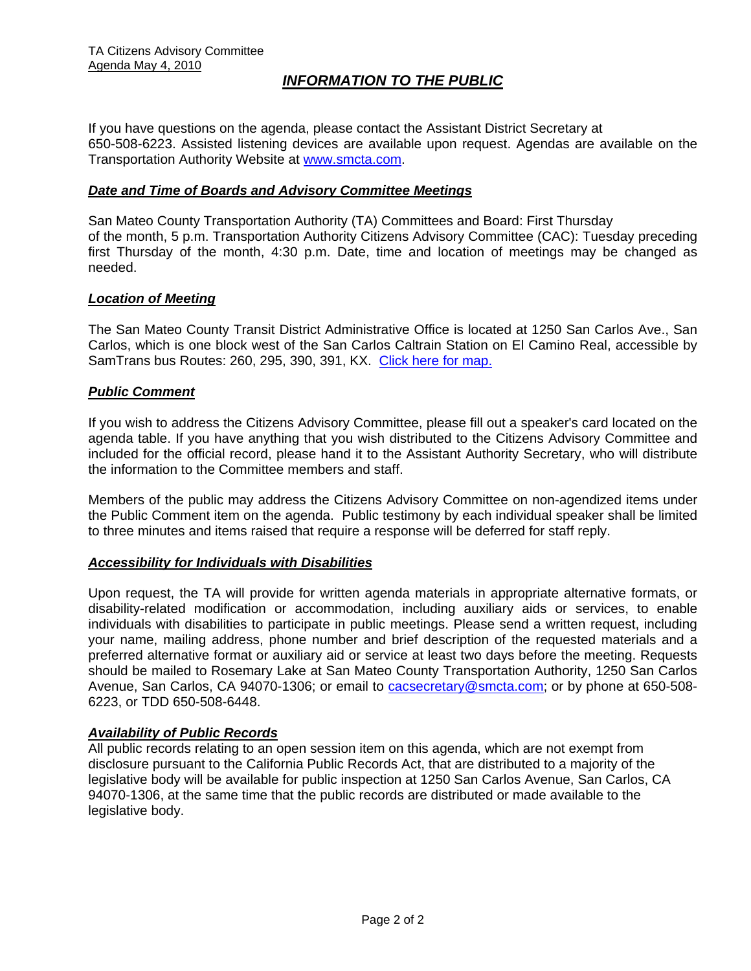# *INFORMATION TO THE PUBLIC*

If you have questions on the agenda, please contact the Assistant District Secretary at 650-508-6223. Assisted listening devices are available upon request. Agendas are available on the Transportation Authority Website at [www.smcta.com.](http://www.smcta.com/)

#### *Date and Time of Boards and Advisory Committee Meetings*

San Mateo County Transportation Authority (TA) Committees and Board: First Thursday of the month, 5 p.m. Transportation Authority Citizens Advisory Committee (CAC): Tuesday preceding first Thursday of the month, 4:30 p.m. Date, time and location of meetings may be changed as needed.

#### *Location of Meeting*

The San Mateo County Transit District Administrative Office is located at 1250 San Carlos Ave., San Carlos, which is one block west of the San Carlos Caltrain Station on El Camino Real, accessible by SamTrans bus Routes: 260, 295, 390, 391, KX. [Click here for map.](http://maps.google.com/maps?f=q&hl=en&geocode=&q=1250+San+Carlos+Ave,+San+Carlos,+CA+94070&sll=37.0625,-95.677068&sspn=33.077336,56.25&ie=UTF8&ll=37.507394,-122.261996&spn=0.008085,0.013733&z=16)

#### *Public Comment*

If you wish to address the Citizens Advisory Committee, please fill out a speaker's card located on the agenda table. If you have anything that you wish distributed to the Citizens Advisory Committee and included for the official record, please hand it to the Assistant Authority Secretary, who will distribute the information to the Committee members and staff.

Members of the public may address the Citizens Advisory Committee on non-agendized items under the Public Comment item on the agenda. Public testimony by each individual speaker shall be limited to three minutes and items raised that require a response will be deferred for staff reply.

#### *Accessibility for Individuals with Disabilities*

Upon request, the TA will provide for written agenda materials in appropriate alternative formats, or disability-related modification or accommodation, including auxiliary aids or services, to enable individuals with disabilities to participate in public meetings. Please send a written request, including your name, mailing address, phone number and brief description of the requested materials and a preferred alternative format or auxiliary aid or service at least two days before the meeting. Requests should be mailed to Rosemary Lake at San Mateo County Transportation Authority, 1250 San Carlos Avenue, San Carlos, CA 94070-1306; or email to [cacsecretary@smcta.com](mailto:cacsecretary@smcta.com); or by phone at 650-508-6223, or TDD 650-508-6448.

#### *Availability of Public Records*

All public records relating to an open session item on this agenda, which are not exempt from disclosure pursuant to the California Public Records Act, that are distributed to a majority of the legislative body will be available for public inspection at 1250 San Carlos Avenue, San Carlos, CA 94070-1306, at the same time that the public records are distributed or made available to the legislative body.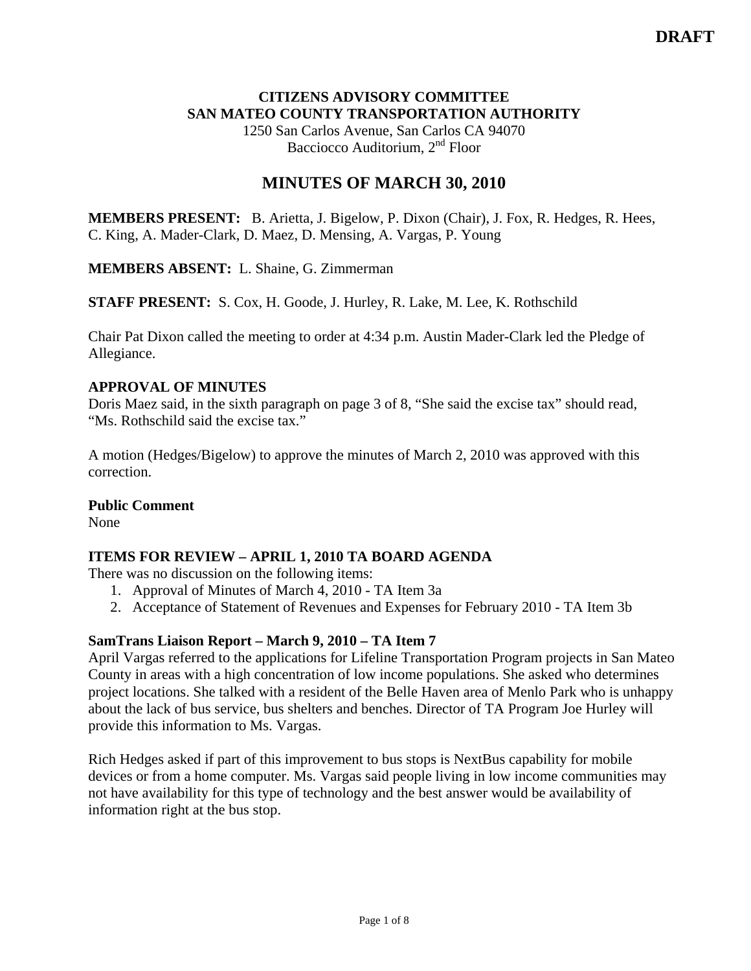### **CITIZENS ADVISORY COMMITTEE SAN MATEO COUNTY TRANSPORTATION AUTHORITY**

1250 San Carlos Avenue, San Carlos CA 94070 Bacciocco Auditorium, 2<sup>nd</sup> Floor

# **MINUTES OF MARCH 30, 2010**

**MEMBERS PRESENT:** B. Arietta, J. Bigelow, P. Dixon (Chair), J. Fox, R. Hedges, R. Hees, C. King, A. Mader-Clark, D. Maez, D. Mensing, A. Vargas, P. Young

**MEMBERS ABSENT:** L. Shaine, G. Zimmerman

**STAFF PRESENT:** S. Cox, H. Goode, J. Hurley, R. Lake, M. Lee, K. Rothschild

Chair Pat Dixon called the meeting to order at 4:34 p.m. Austin Mader-Clark led the Pledge of Allegiance.

### **APPROVAL OF MINUTES**

Doris Maez said, in the sixth paragraph on page 3 of 8, "She said the excise tax" should read, "Ms. Rothschild said the excise tax."

A motion (Hedges/Bigelow) to approve the minutes of March 2, 2010 was approved with this correction.

#### **Public Comment**

None

# **ITEMS FOR REVIEW – APRIL 1, 2010 TA BOARD AGENDA**

There was no discussion on the following items:

- 1. Approval of Minutes of March 4, 2010 TA Item 3a
- 2. Acceptance of Statement of Revenues and Expenses for February 2010 TA Item 3b

# **SamTrans Liaison Report – March 9, 2010 – TA Item 7**

April Vargas referred to the applications for Lifeline Transportation Program projects in San Mateo County in areas with a high concentration of low income populations. She asked who determines project locations. She talked with a resident of the Belle Haven area of Menlo Park who is unhappy about the lack of bus service, bus shelters and benches. Director of TA Program Joe Hurley will provide this information to Ms. Vargas.

Rich Hedges asked if part of this improvement to bus stops is NextBus capability for mobile devices or from a home computer. Ms. Vargas said people living in low income communities may not have availability for this type of technology and the best answer would be availability of information right at the bus stop.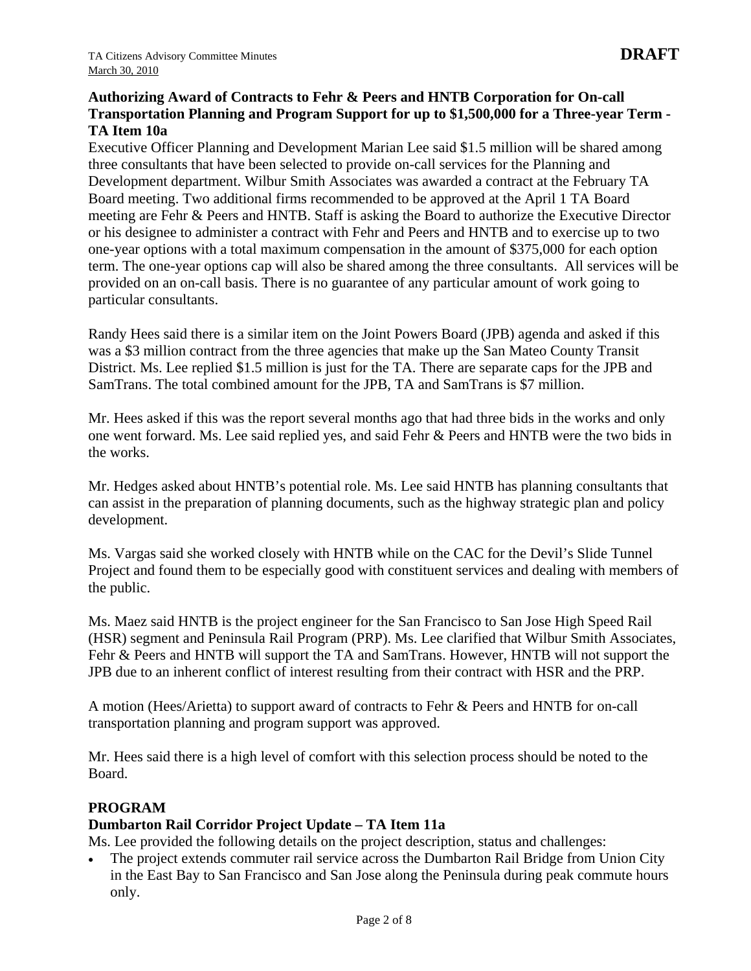### **Authorizing Award of Contracts to Fehr & Peers and HNTB Corporation for On-call Transportation Planning and Program Support for up to \$1,500,000 for a Three-year Term - TA Item 10a**

Executive Officer Planning and Development Marian Lee said \$1.5 million will be shared among three consultants that have been selected to provide on-call services for the Planning and Development department. Wilbur Smith Associates was awarded a contract at the February TA Board meeting. Two additional firms recommended to be approved at the April 1 TA Board meeting are Fehr & Peers and HNTB. Staff is asking the Board to authorize the Executive Director or his designee to administer a contract with Fehr and Peers and HNTB and to exercise up to two one-year options with a total maximum compensation in the amount of \$375,000 for each option term. The one-year options cap will also be shared among the three consultants. All services will be provided on an on-call basis. There is no guarantee of any particular amount of work going to particular consultants.

Randy Hees said there is a similar item on the Joint Powers Board (JPB) agenda and asked if this was a \$3 million contract from the three agencies that make up the San Mateo County Transit District. Ms. Lee replied \$1.5 million is just for the TA. There are separate caps for the JPB and SamTrans. The total combined amount for the JPB, TA and SamTrans is \$7 million.

Mr. Hees asked if this was the report several months ago that had three bids in the works and only one went forward. Ms. Lee said replied yes, and said Fehr & Peers and HNTB were the two bids in the works.

Mr. Hedges asked about HNTB's potential role. Ms. Lee said HNTB has planning consultants that can assist in the preparation of planning documents, such as the highway strategic plan and policy development.

Ms. Vargas said she worked closely with HNTB while on the CAC for the Devil's Slide Tunnel Project and found them to be especially good with constituent services and dealing with members of the public.

Ms. Maez said HNTB is the project engineer for the San Francisco to San Jose High Speed Rail (HSR) segment and Peninsula Rail Program (PRP). Ms. Lee clarified that Wilbur Smith Associates, Fehr & Peers and HNTB will support the TA and SamTrans. However, HNTB will not support the JPB due to an inherent conflict of interest resulting from their contract with HSR and the PRP.

A motion (Hees/Arietta) to support award of contracts to Fehr & Peers and HNTB for on-call transportation planning and program support was approved.

Mr. Hees said there is a high level of comfort with this selection process should be noted to the Board.

# **PROGRAM**

#### **Dumbarton Rail Corridor Project Update – TA Item 11a**

Ms. Lee provided the following details on the project description, status and challenges:

The project extends commuter rail service across the Dumbarton Rail Bridge from Union City in the East Bay to San Francisco and San Jose along the Peninsula during peak commute hours only.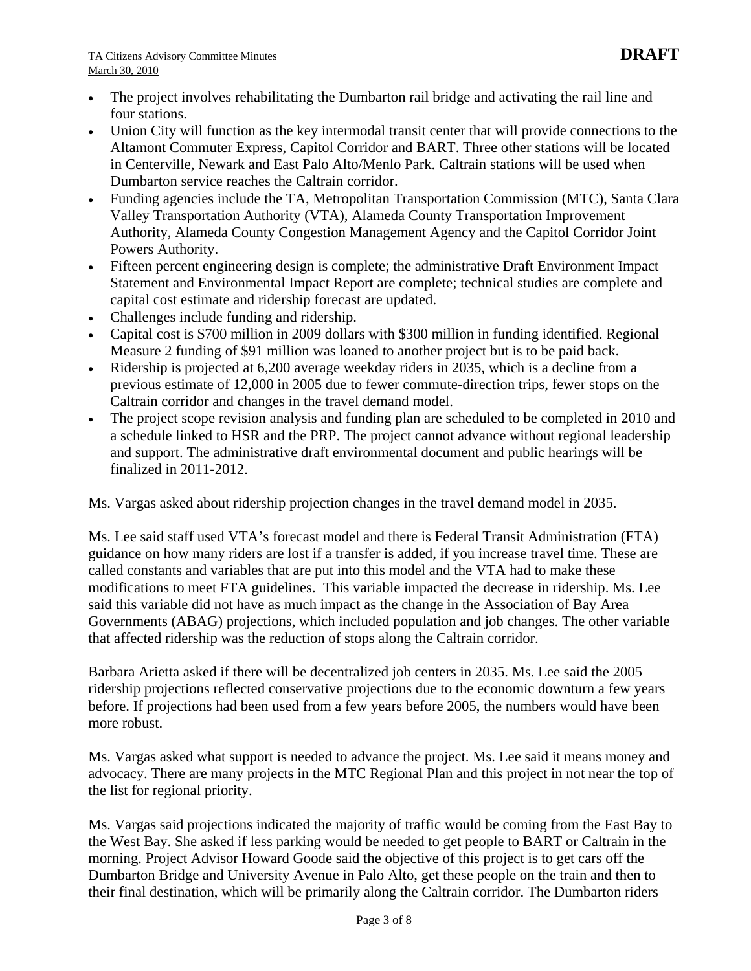- The project involves rehabilitating the Dumbarton rail bridge and activating the rail line and four stations.
- Union City will function as the key intermodal transit center that will provide connections to the Altamont Commuter Express, Capitol Corridor and BART. Three other stations will be located in Centerville, Newark and East Palo Alto/Menlo Park. Caltrain stations will be used when Dumbarton service reaches the Caltrain corridor.
- Funding agencies include the TA, Metropolitan Transportation Commission (MTC), Santa Clara Valley Transportation Authority (VTA), Alameda County Transportation Improvement Authority, Alameda County Congestion Management Agency and the Capitol Corridor Joint Powers Authority.
- Fifteen percent engineering design is complete; the administrative Draft Environment Impact Statement and Environmental Impact Report are complete; technical studies are complete and capital cost estimate and ridership forecast are updated.
- Challenges include funding and ridership.
- Capital cost is \$700 million in 2009 dollars with \$300 million in funding identified. Regional Measure 2 funding of \$91 million was loaned to another project but is to be paid back.
- Ridership is projected at 6,200 average weekday riders in 2035, which is a decline from a previous estimate of 12,000 in 2005 due to fewer commute-direction trips, fewer stops on the Caltrain corridor and changes in the travel demand model.
- The project scope revision analysis and funding plan are scheduled to be completed in 2010 and a schedule linked to HSR and the PRP. The project cannot advance without regional leadership and support. The administrative draft environmental document and public hearings will be finalized in 2011-2012.

Ms. Vargas asked about ridership projection changes in the travel demand model in 2035.

Ms. Lee said staff used VTA's forecast model and there is Federal Transit Administration (FTA) guidance on how many riders are lost if a transfer is added, if you increase travel time. These are called constants and variables that are put into this model and the VTA had to make these modifications to meet FTA guidelines. This variable impacted the decrease in ridership. Ms. Lee said this variable did not have as much impact as the change in the Association of Bay Area Governments (ABAG) projections, which included population and job changes. The other variable that affected ridership was the reduction of stops along the Caltrain corridor.

Barbara Arietta asked if there will be decentralized job centers in 2035. Ms. Lee said the 2005 ridership projections reflected conservative projections due to the economic downturn a few years before. If projections had been used from a few years before 2005, the numbers would have been more robust.

Ms. Vargas asked what support is needed to advance the project. Ms. Lee said it means money and advocacy. There are many projects in the MTC Regional Plan and this project in not near the top of the list for regional priority.

Ms. Vargas said projections indicated the majority of traffic would be coming from the East Bay to the West Bay. She asked if less parking would be needed to get people to BART or Caltrain in the morning. Project Advisor Howard Goode said the objective of this project is to get cars off the Dumbarton Bridge and University Avenue in Palo Alto, get these people on the train and then to their final destination, which will be primarily along the Caltrain corridor. The Dumbarton riders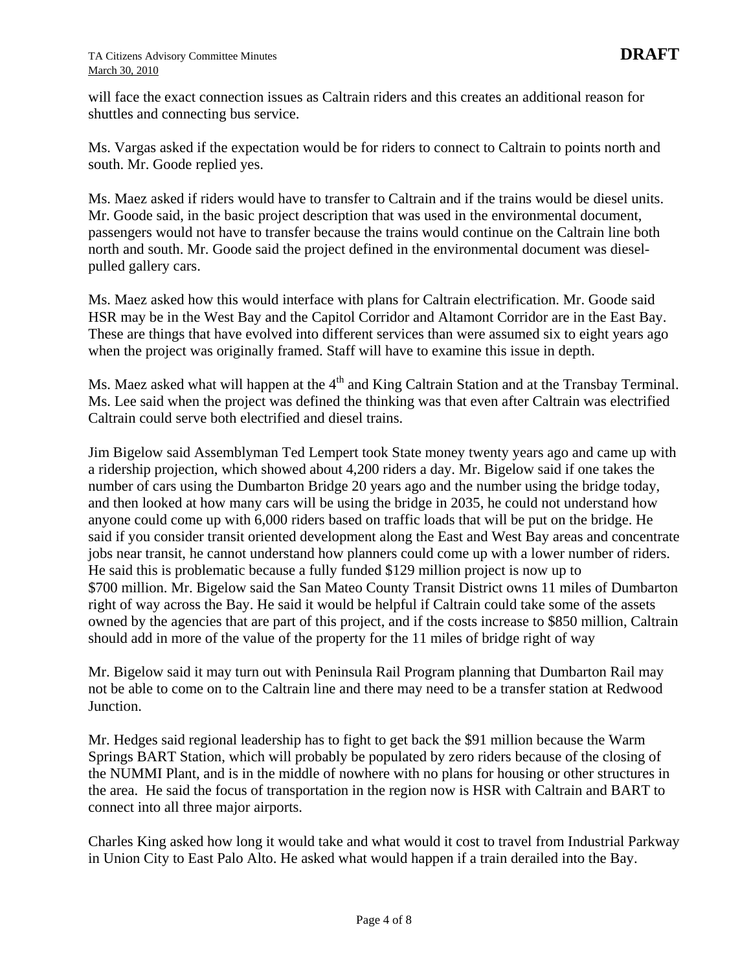will face the exact connection issues as Caltrain riders and this creates an additional reason for shuttles and connecting bus service.

Ms. Vargas asked if the expectation would be for riders to connect to Caltrain to points north and south. Mr. Goode replied yes.

Ms. Maez asked if riders would have to transfer to Caltrain and if the trains would be diesel units. Mr. Goode said, in the basic project description that was used in the environmental document, passengers would not have to transfer because the trains would continue on the Caltrain line both north and south. Mr. Goode said the project defined in the environmental document was dieselpulled gallery cars.

Ms. Maez asked how this would interface with plans for Caltrain electrification. Mr. Goode said HSR may be in the West Bay and the Capitol Corridor and Altamont Corridor are in the East Bay. These are things that have evolved into different services than were assumed six to eight years ago when the project was originally framed. Staff will have to examine this issue in depth.

Ms. Maez asked what will happen at the  $4<sup>th</sup>$  and King Caltrain Station and at the Transbay Terminal. Ms. Lee said when the project was defined the thinking was that even after Caltrain was electrified Caltrain could serve both electrified and diesel trains.

Jim Bigelow said Assemblyman Ted Lempert took State money twenty years ago and came up with a ridership projection, which showed about 4,200 riders a day. Mr. Bigelow said if one takes the number of cars using the Dumbarton Bridge 20 years ago and the number using the bridge today, and then looked at how many cars will be using the bridge in 2035, he could not understand how anyone could come up with 6,000 riders based on traffic loads that will be put on the bridge. He said if you consider transit oriented development along the East and West Bay areas and concentrate jobs near transit, he cannot understand how planners could come up with a lower number of riders. He said this is problematic because a fully funded \$129 million project is now up to \$700 million. Mr. Bigelow said the San Mateo County Transit District owns 11 miles of Dumbarton right of way across the Bay. He said it would be helpful if Caltrain could take some of the assets owned by the agencies that are part of this project, and if the costs increase to \$850 million, Caltrain should add in more of the value of the property for the 11 miles of bridge right of way

Mr. Bigelow said it may turn out with Peninsula Rail Program planning that Dumbarton Rail may not be able to come on to the Caltrain line and there may need to be a transfer station at Redwood Junction.

Mr. Hedges said regional leadership has to fight to get back the \$91 million because the Warm Springs BART Station, which will probably be populated by zero riders because of the closing of the NUMMI Plant, and is in the middle of nowhere with no plans for housing or other structures in the area. He said the focus of transportation in the region now is HSR with Caltrain and BART to connect into all three major airports.

Charles King asked how long it would take and what would it cost to travel from Industrial Parkway in Union City to East Palo Alto. He asked what would happen if a train derailed into the Bay.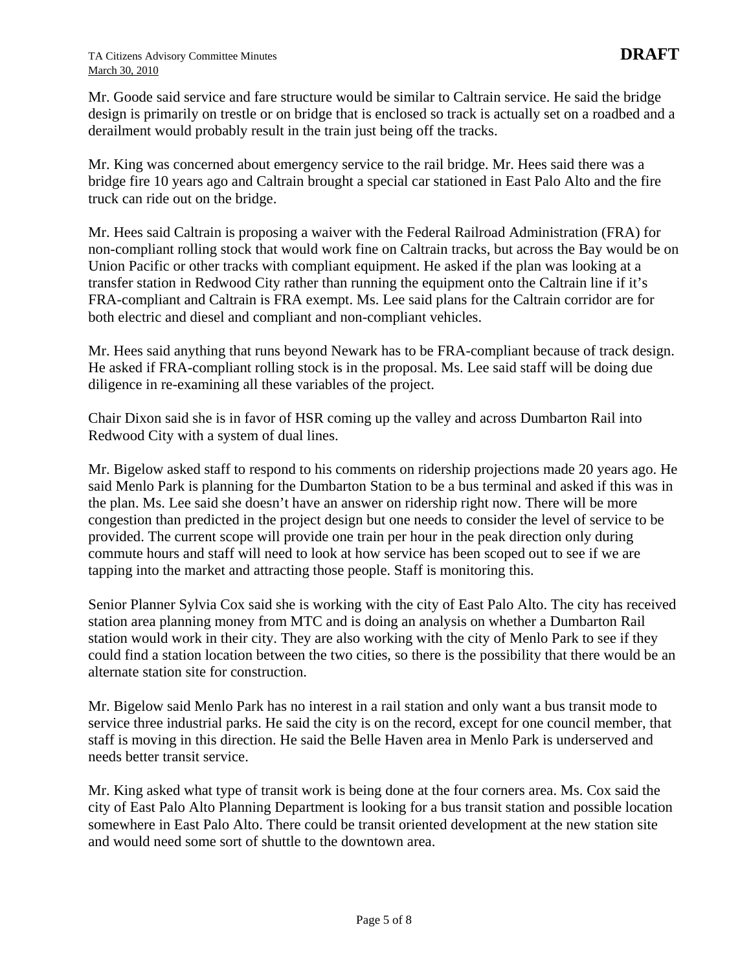Mr. Goode said service and fare structure would be similar to Caltrain service. He said the bridge design is primarily on trestle or on bridge that is enclosed so track is actually set on a roadbed and a derailment would probably result in the train just being off the tracks.

Mr. King was concerned about emergency service to the rail bridge. Mr. Hees said there was a bridge fire 10 years ago and Caltrain brought a special car stationed in East Palo Alto and the fire truck can ride out on the bridge.

Mr. Hees said Caltrain is proposing a waiver with the Federal Railroad Administration (FRA) for non-compliant rolling stock that would work fine on Caltrain tracks, but across the Bay would be on Union Pacific or other tracks with compliant equipment. He asked if the plan was looking at a transfer station in Redwood City rather than running the equipment onto the Caltrain line if it's FRA-compliant and Caltrain is FRA exempt. Ms. Lee said plans for the Caltrain corridor are for both electric and diesel and compliant and non-compliant vehicles.

Mr. Hees said anything that runs beyond Newark has to be FRA-compliant because of track design. He asked if FRA-compliant rolling stock is in the proposal. Ms. Lee said staff will be doing due diligence in re-examining all these variables of the project.

Chair Dixon said she is in favor of HSR coming up the valley and across Dumbarton Rail into Redwood City with a system of dual lines.

Mr. Bigelow asked staff to respond to his comments on ridership projections made 20 years ago. He said Menlo Park is planning for the Dumbarton Station to be a bus terminal and asked if this was in the plan. Ms. Lee said she doesn't have an answer on ridership right now. There will be more congestion than predicted in the project design but one needs to consider the level of service to be provided. The current scope will provide one train per hour in the peak direction only during commute hours and staff will need to look at how service has been scoped out to see if we are tapping into the market and attracting those people. Staff is monitoring this.

Senior Planner Sylvia Cox said she is working with the city of East Palo Alto. The city has received station area planning money from MTC and is doing an analysis on whether a Dumbarton Rail station would work in their city. They are also working with the city of Menlo Park to see if they could find a station location between the two cities, so there is the possibility that there would be an alternate station site for construction.

Mr. Bigelow said Menlo Park has no interest in a rail station and only want a bus transit mode to service three industrial parks. He said the city is on the record, except for one council member, that staff is moving in this direction. He said the Belle Haven area in Menlo Park is underserved and needs better transit service.

Mr. King asked what type of transit work is being done at the four corners area. Ms. Cox said the city of East Palo Alto Planning Department is looking for a bus transit station and possible location somewhere in East Palo Alto. There could be transit oriented development at the new station site and would need some sort of shuttle to the downtown area.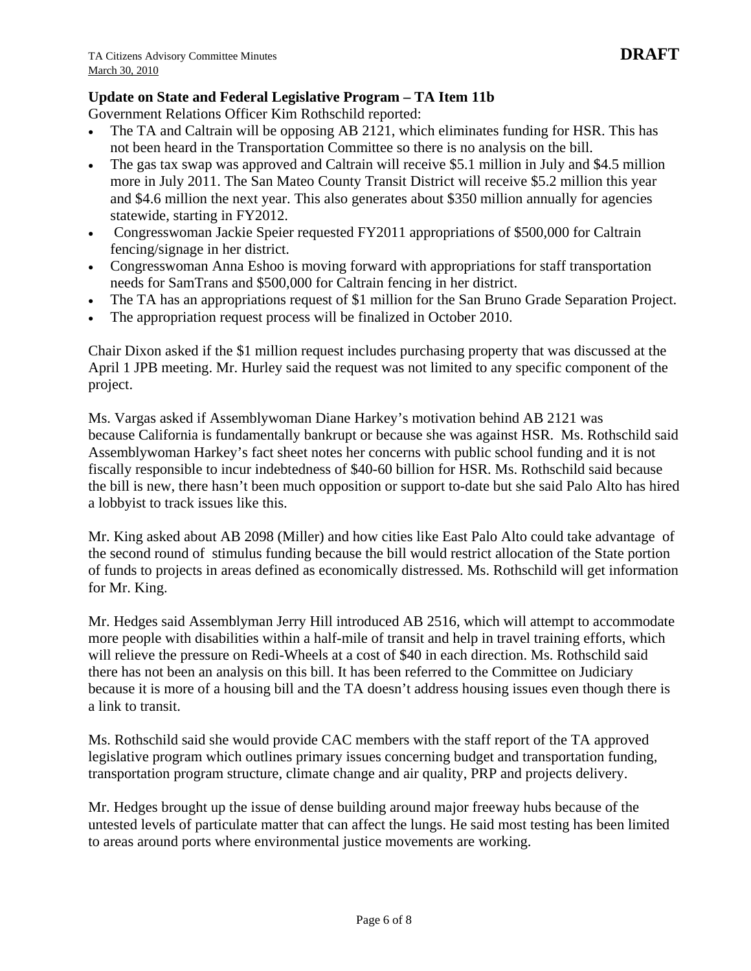# **Update on State and Federal Legislative Program – TA Item 11b**

Government Relations Officer Kim Rothschild reported:

- The TA and Caltrain will be opposing AB 2121, which eliminates funding for HSR. This has not been heard in the Transportation Committee so there is no analysis on the bill.
- The gas tax swap was approved and Caltrain will receive \$5.1 million in July and \$4.5 million more in July 2011. The San Mateo County Transit District will receive \$5.2 million this year and \$4.6 million the next year. This also generates about \$350 million annually for agencies statewide, starting in FY2012.
- Congresswoman Jackie Speier requested FY2011 appropriations of \$500,000 for Caltrain fencing/signage in her district.
- Congresswoman Anna Eshoo is moving forward with appropriations for staff transportation needs for SamTrans and \$500,000 for Caltrain fencing in her district.
- The TA has an appropriations request of \$1 million for the San Bruno Grade Separation Project.
- The appropriation request process will be finalized in October 2010.

Chair Dixon asked if the \$1 million request includes purchasing property that was discussed at the April 1 JPB meeting. Mr. Hurley said the request was not limited to any specific component of the project.

Ms. Vargas asked if Assemblywoman Diane Harkey's motivation behind AB 2121 was because California is fundamentally bankrupt or because she was against HSR. Ms. Rothschild said Assemblywoman Harkey's fact sheet notes her concerns with public school funding and it is not fiscally responsible to incur indebtedness of \$40-60 billion for HSR. Ms. Rothschild said because the bill is new, there hasn't been much opposition or support to-date but she said Palo Alto has hired a lobbyist to track issues like this.

Mr. King asked about AB 2098 (Miller) and how cities like East Palo Alto could take advantage of the second round of stimulus funding because the bill would restrict allocation of the State portion of funds to projects in areas defined as economically distressed. Ms. Rothschild will get information for Mr. King.

Mr. Hedges said Assemblyman Jerry Hill introduced AB 2516, which will attempt to accommodate more people with disabilities within a half-mile of transit and help in travel training efforts, which will relieve the pressure on Redi-Wheels at a cost of \$40 in each direction. Ms. Rothschild said there has not been an analysis on this bill. It has been referred to the Committee on Judiciary because it is more of a housing bill and the TA doesn't address housing issues even though there is a link to transit.

Ms. Rothschild said she would provide CAC members with the staff report of the TA approved legislative program which outlines primary issues concerning budget and transportation funding, transportation program structure, climate change and air quality, PRP and projects delivery.

Mr. Hedges brought up the issue of dense building around major freeway hubs because of the untested levels of particulate matter that can affect the lungs. He said most testing has been limited to areas around ports where environmental justice movements are working.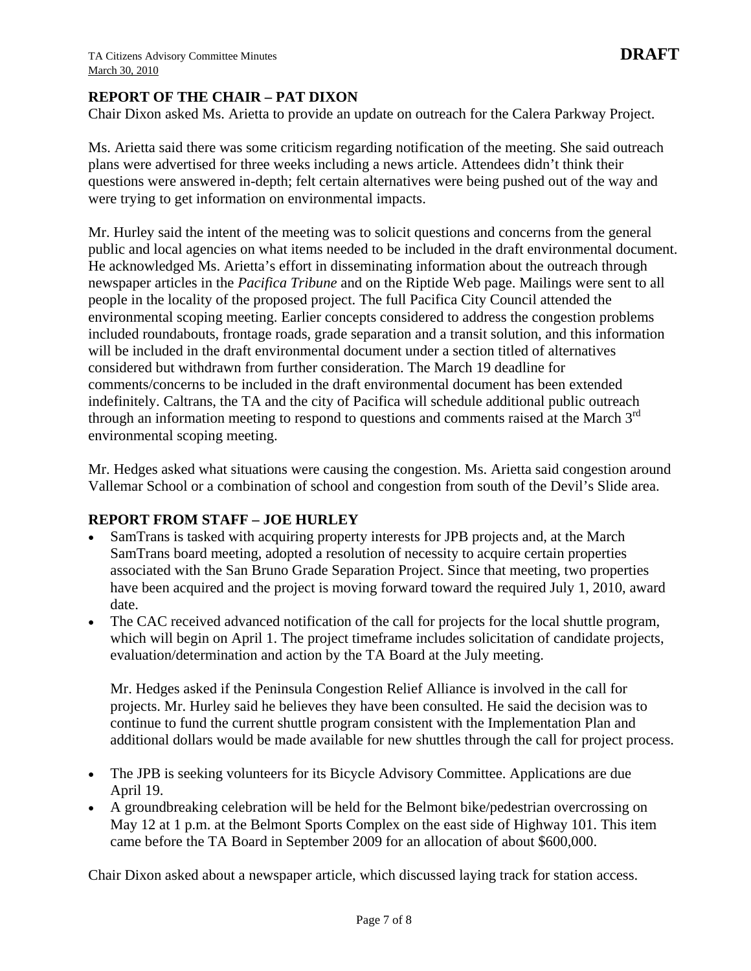### **REPORT OF THE CHAIR – PAT DIXON**

Chair Dixon asked Ms. Arietta to provide an update on outreach for the Calera Parkway Project.

Ms. Arietta said there was some criticism regarding notification of the meeting. She said outreach plans were advertised for three weeks including a news article. Attendees didn't think their questions were answered in-depth; felt certain alternatives were being pushed out of the way and were trying to get information on environmental impacts.

Mr. Hurley said the intent of the meeting was to solicit questions and concerns from the general public and local agencies on what items needed to be included in the draft environmental document. He acknowledged Ms. Arietta's effort in disseminating information about the outreach through newspaper articles in the *Pacifica Tribune* and on the Riptide Web page. Mailings were sent to all people in the locality of the proposed project. The full Pacifica City Council attended the environmental scoping meeting. Earlier concepts considered to address the congestion problems included roundabouts, frontage roads, grade separation and a transit solution, and this information will be included in the draft environmental document under a section titled of alternatives considered but withdrawn from further consideration. The March 19 deadline for comments/concerns to be included in the draft environmental document has been extended indefinitely. Caltrans, the TA and the city of Pacifica will schedule additional public outreach through an information meeting to respond to questions and comments raised at the March  $3<sup>rd</sup>$ environmental scoping meeting.

Mr. Hedges asked what situations were causing the congestion. Ms. Arietta said congestion around Vallemar School or a combination of school and congestion from south of the Devil's Slide area.

#### **REPORT FROM STAFF – JOE HURLEY**

- SamTrans is tasked with acquiring property interests for JPB projects and, at the March SamTrans board meeting, adopted a resolution of necessity to acquire certain properties associated with the San Bruno Grade Separation Project. Since that meeting, two properties have been acquired and the project is moving forward toward the required July 1, 2010, award date.
- The CAC received advanced notification of the call for projects for the local shuttle program, which will begin on April 1. The project timeframe includes solicitation of candidate projects, evaluation/determination and action by the TA Board at the July meeting.

Mr. Hedges asked if the Peninsula Congestion Relief Alliance is involved in the call for projects. Mr. Hurley said he believes they have been consulted. He said the decision was to continue to fund the current shuttle program consistent with the Implementation Plan and additional dollars would be made available for new shuttles through the call for project process.

- The JPB is seeking volunteers for its Bicycle Advisory Committee. Applications are due April 19.
- A groundbreaking celebration will be held for the Belmont bike/pedestrian overcrossing on May 12 at 1 p.m. at the Belmont Sports Complex on the east side of Highway 101. This item came before the TA Board in September 2009 for an allocation of about \$600,000.

Chair Dixon asked about a newspaper article, which discussed laying track for station access.